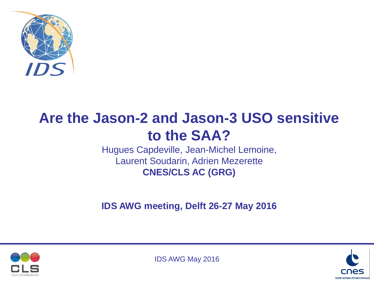

# **Are the Jason-2 and Jason-3 USO sensitive to the SAA?**

Hugues Capdeville, Jean-Michel Lemoine, Laurent Soudarin, Adrien Mezerette **CNES/CLS AC (GRG)**

**IDS AWG meeting, Delft 26-27 May 2016**



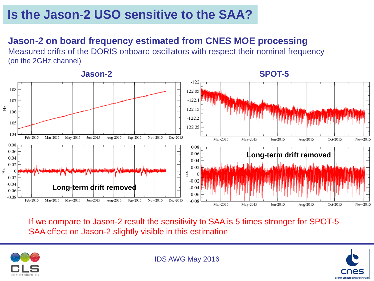#### **Jason-2 on board frequency estimated from CNES MOE processing**

Measured drifts of the DORIS onboard oscillators with respect their nominal frequency (on the 2GHz channel)

#### **Jason-2 SPOT-5**  $-122$ 108  $-122.05$  $-122.$  $107$ Hz  $-122.15$ 106  $-122.2$ 105  $-122.25$ 104 Feb-2015 Mar-2015 May-2015 Jun-2015 Aug-2015 Sep-2015 Nov-2015 Dec-2015 Mar-2015 May-2015 Jun-2015 Aug-2015 Oct-2015 Nov-2015 0.08 0.08 0.06 0.06 **Long-term drift removed** 0.04  $0.04$ 0.02  $0.02$ Ηz H  $-0.02$  $-0.02$  $-0.04$ **Long-term drift removed**  $-0.04$  $-0.06$  $-0.06$  $-0.08$ May-2015 Feb-2015 Mar-2015 Jun-2015 Aug-2015 Sep-2015 Nov-2015 Dec-2015  $-0.08$ Mar-2015 Jun-2015 Aug-2015 May-2015 Oct-2015 Nov-2015

If we compare to Jason-2 result the sensitivity to SAA is 5 times stronger for SPOT-5 SAA effect on Jason-2 slightly visible in this estimation



IDS AWG May 2016

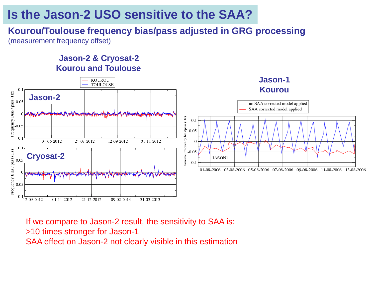#### **Kourou/Toulouse frequency bias/pass adjusted in GRG processing**  (measurement frequency offset)

#### **Jason-2 & Cryosat-2 Kourou and Toulouse**



If we compare to Jason-2 result, the sensitivity to SAA is: >10 times stronger for Jason-1 SAA effect on Jason-2 not clearly visible in this estimation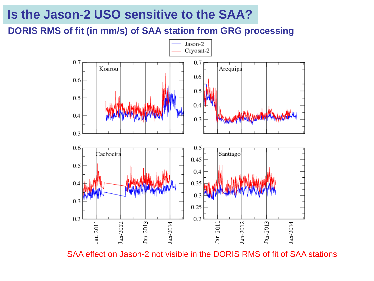#### **DORIS RMS of fit (in mm/s) of SAA station from GRG processing**



SAA effect on Jason-2 not visible in the DORIS RMS of fit of SAA stations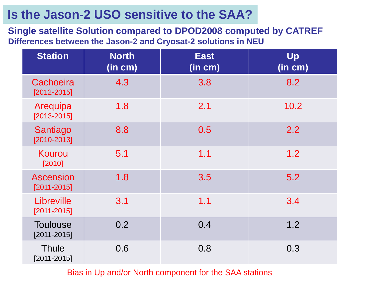**Single satellite Solution compared to DPOD2008 computed by CATREF Differences between the Jason-2 and Cryosat-2 solutions in NEU**

| <b>Station</b>                      | <b>North</b><br>(in cm) | <b>East</b><br>(in cm) | Up<br>(in cm) |
|-------------------------------------|-------------------------|------------------------|---------------|
| Cachoeira<br>$[2012 - 2015]$        | 4.3                     | 3.8                    | 8.2           |
| Arequipa<br>$[2013 - 2015]$         | 1.8                     | 2.1                    | 10.2          |
| Santiago<br>$[2010 - 2013]$         | 8.8                     | 0.5                    | 2.2           |
| Kourou<br>[2010]                    | 5.1                     | 1.1                    | 1.2           |
| <b>Ascension</b><br>$[2011 - 2015]$ | 1.8                     | 3.5                    | 5.2           |
| Libreville<br>$[2011 - 2015]$       | 3.1                     | 1.1                    | 3.4           |
| <b>Toulouse</b><br>$[2011 - 2015]$  | 0.2                     | 0.4                    | 1.2           |
| <b>Thule</b><br>$[2011 - 2015]$     | 0.6                     | 0.8                    | 0.3           |

Bias in Up and/or North component for the SAA stations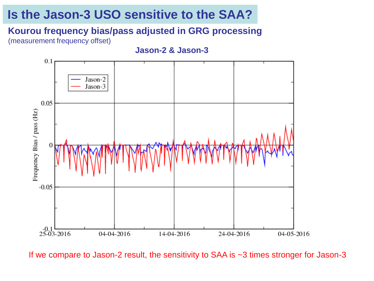#### **Kourou frequency bias/pass adjusted in GRG processing**

(measurement frequency offset)

**Jason-2 & Jason-3**



If we compare to Jason-2 result, the sensitivity to SAA is ~3 times stronger for Jason-3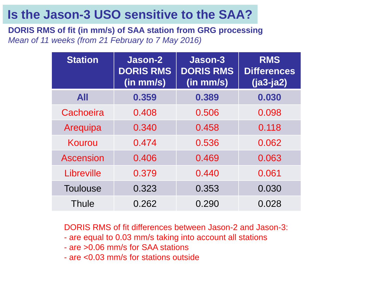**DORIS RMS of fit (in mm/s) of SAA station from GRG processing** *Mean of 11 weeks (from 21 February to 7 May 2016)*

| <b>Station</b>   | Jason-2<br><b>DORIS RMS</b><br>(in mm/s) | Jason-3<br><b>DORIS RMS</b><br>$(in$ mm/s $)$ | <b>RMS</b><br><b>Differences</b><br>$(ja3-ja2)$ |
|------------------|------------------------------------------|-----------------------------------------------|-------------------------------------------------|
| <b>All</b>       | 0.359                                    | 0.389                                         | 0.030                                           |
| Cachoeira        | 0.408                                    | 0.506                                         | 0.098                                           |
| Arequipa         | 0.340                                    | 0.458                                         | 0.118                                           |
| Kourou           | 0.474                                    | 0.536                                         | 0.062                                           |
| <b>Ascension</b> | 0.406                                    | 0.469                                         | 0.063                                           |
| Libreville       | 0.379                                    | 0.440                                         | 0.061                                           |
| <b>Toulouse</b>  | 0.323                                    | 0.353                                         | 0.030                                           |
| Thule            | 0.262                                    | 0.290                                         | 0.028                                           |

DORIS RMS of fit differences between Jason-2 and Jason-3:

- are equal to 0.03 mm/s taking into account all stations
- are >0.06 mm/s for SAA stations
- are <0.03 mm/s for stations outside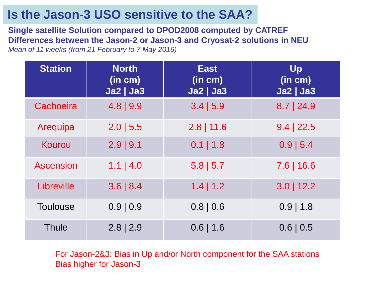**Single satellite Solution compared to DPOD2008 computed by CATREF Differences between the Jason-2 or Jason-3 and Cryosat-2 solutions in NEU** *Mean of 11 weeks (from 21 February to 7 May 2016)*

| <b>Station</b>   | <b>North</b><br>(in cm)<br><b>Ja2   Ja3</b> | <b>East</b><br>(in cm)<br><b>Ja2   Ja3</b> | Up<br>(in cm)<br><b>Ja2   Ja3</b> |
|------------------|---------------------------------------------|--------------------------------------------|-----------------------------------|
| Cachoeira        | $4.8$   9.9                                 | 3.4   5.9                                  | $8.7$   24.9                      |
| Arequipa         | $2.0$   5.5                                 | $2.8$   11.6                               | $9.4$   22.5                      |
| Kourou           | $2.9$   9.1                                 | $0.1$   1.8                                | $0.9$   5.4                       |
| <b>Ascension</b> | $1.1$   4.0                                 | $5.8$   5.7                                | $7.6$   16.6                      |
| Libreville       | $3.6 \mid 8.4$                              | $1.4$   1.2                                | $3.0$   12.2                      |
| <b>Toulouse</b>  | 0.9   0.9                                   | $0.8 \mid 0.6$                             | $0.9$   1.8                       |
| <b>Thule</b>     | $2.8$   2.9                                 | $0.6$   1.6                                | $0.6 \mid 0.5$                    |

For Jason-2&3: Bias in Up and/or North component for the SAA stations Bias higher for Jason-3